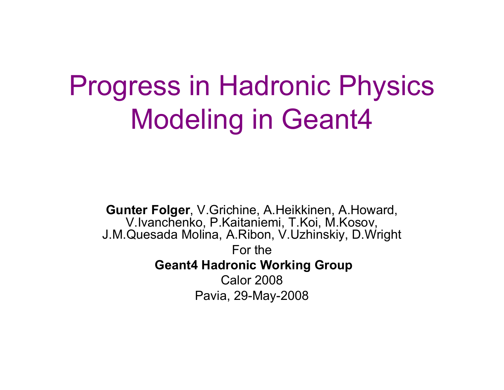# Progress in Hadronic Physics Modeling in Geant4

**Gunter Folger**, V.Grichine, A.Heikkinen, A.Howard, V.Ivanchenko, P.Kaitaniemi, T.Koi, M.Kosov, J.M.Quesada Molina, A.Ribon, V.Uzhinskiy, D.Wright For the**Geant4 Hadronic Working Group** Calor 2008Pavia, 29-May-2008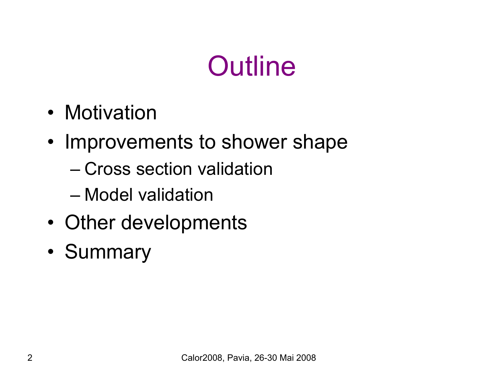# **Outline**

- Motivation
- Improvements to shower shape
	- Cross section validation
	- Model validation
- •Other developments
- •**Summary**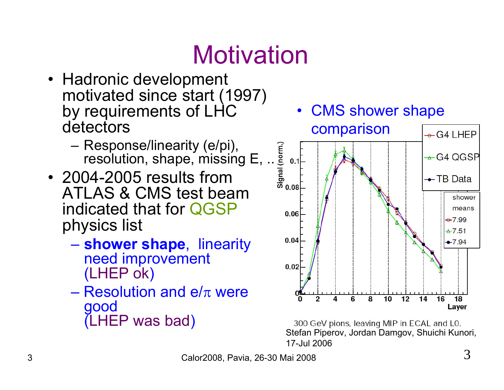# **Motivation**

- Hadronic development motivated since start (1997) by requirements of LHC detectors
	- – Response/linearity (e/pi), Response/linearity (e/pi),<br>resolution, shape, missing E, ... e.<br>04-2005 results from  $\frac{1}{5}$   $\frac{2}{5}$   $\frac{2}{5}$  0.08
- 2004-2005 results from ATLAS & CMS test beam indicated that for QGSP physics list
	- – **shower shape**, linearity need improvement (LHEP ok )
	- $-$  Resolution and e/ $\pi$  were good (LHEP was bad )



300 GeV pions, leaving MIP in ECAL and L0. Stefan Piperov, Jordan Damgov, Shuichi Kunori, 17-Jul 2006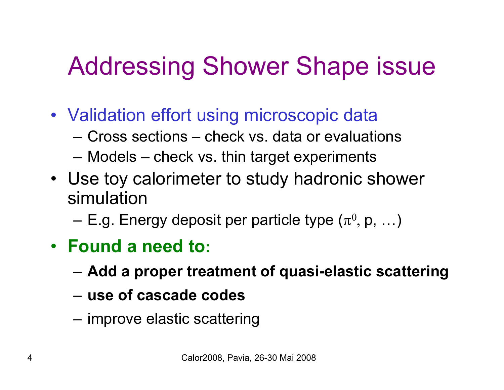#### Addressing Shower Shape issue

- Validation effort using microscopic data
	- Cross sections check vs. data or evaluations
	- –Models – check vs. thin target experiments
- Use toy calorimeter to study hadronic shower simulation
	- E.g. Energy deposit per particle type  $(\pi^0, p, \ldots)$
- **Found a need to:**
	- –**Add a proper treatment of quasi-elastic scattering**
	- **use of cascade codes**
	- improve elastic scattering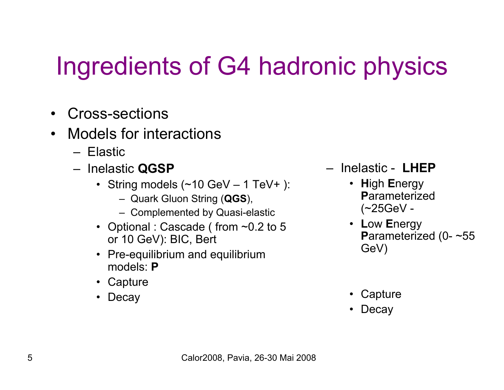### Ingredients of G4 hadronic physics

- Cross-sections
- Models for interactions
	- Elastic
	- Inelastic **QGSP**
		- String models (~10 GeV 1 TeV+ ):
			- Quark Gluon String (**QGS**),
			- Complemented by Quasi-elastic
		- Optional : Cascade ( from ~0.2 to 5 or 10 GeV): BIC, Bert
		- Pre-equilibrium and equilibrium models: **P**
		- Capture
		- Decay
- Inelastic **LHEP**
	- **H**igh **E**nergy **P**arameterized (~25GeV -
	- **L**ow **E**nergy **P**arameterized (0- ~55 GeV)
	- Capture
	- Decay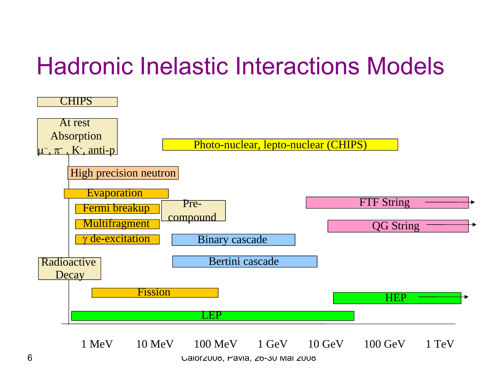#### Hadronic Inelastic Interactions Models



Calor2008, Pavia, 26-30 Mai 2008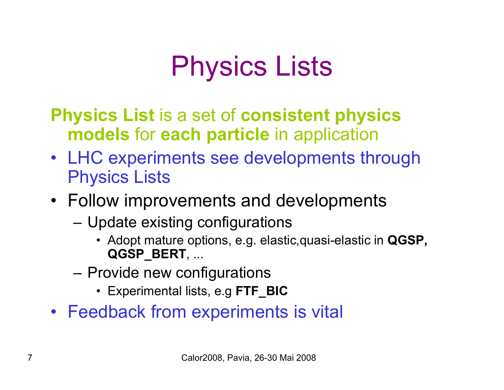# Physics Lists

**Physics List** is a set of **consistent physics models** for **each particle** in application

- LHC experiments see developments through Physics Lists
- Follow improvements and developments
	- Update existing configurations
		- Adopt mature options, e.g. elastic,quasi-elastic in **QGSP, QGSP\_BERT**, ...
	- Provide new configurations
		- Experimental lists, e.g **FTF\_BIC**
- Feedback from experiments is vital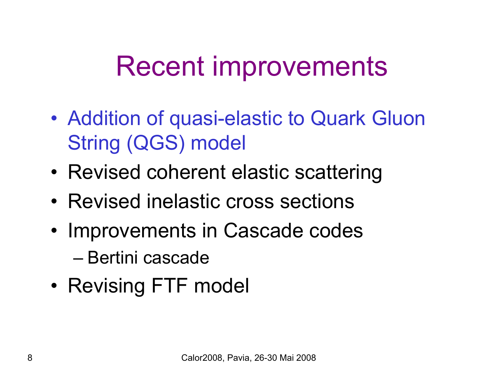# Recent improvements

- • Addition of quasi-elastic to Quark Gluon String (QGS) model
- Revised coherent elastic scattering
- Revised inelastic cross sections
- • Improvements in Cascade codes
	- Bertini cascade
- Revising FTF model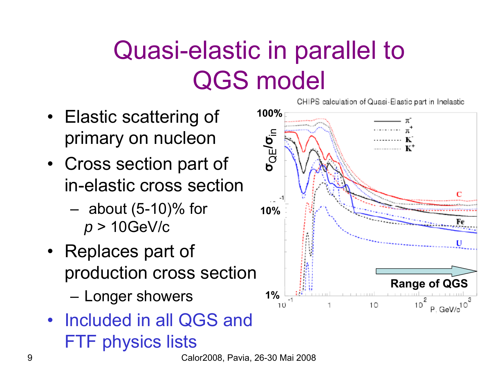#### Quasi-elastic in parallel to QGS model

- Elastic scattering of primary on nucleon
- Cross section part of in-elastic cross section
	- – about (5-10)% for *p* > 10GeV/c
- Replaces part of production cross section –Longer showers
- Included in all QGS and FTF physics lists



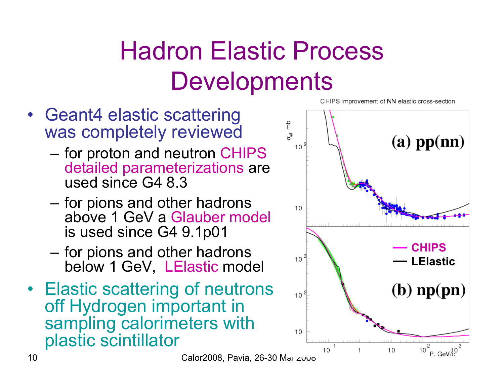### Hadron Elastic Process **Developments**

- Geant4 elastic scattering was completely reviewed
	- – for proton and neutron CHIPS detailed parameterizations are used since G4 8.3
	- for pions and other hadrons above 1 GeV a Glauber model is used since G4 9.1p01
	- – for pions and other hadrons below 1 GeV, LElastic model
- Elastic scattering of neutrons off Hydrogen important in sampling calorimeters with plastic scintillator



CHIPS improvement of NN elastic cross-section

Calor2008, Pavia, 26-30 Mai 2000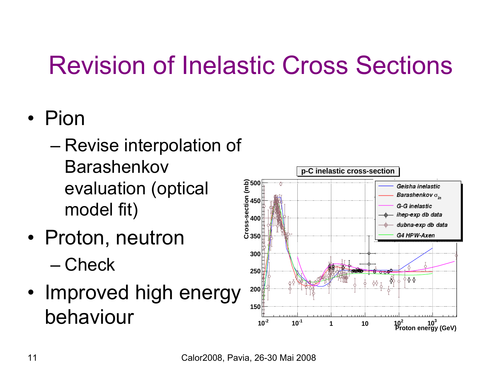#### Revision of Inelastic Cross Sections

#### • Pion

- Revise interpolation of Barashenkovevaluation (optical model fit)
- Proton, neutron – Check
- Improved high energy behaviour

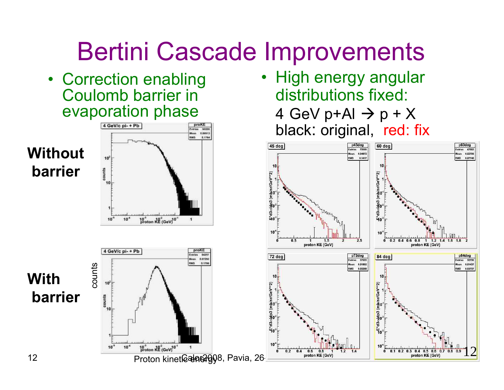#### Bertini Cascade Improvements

• High energy angular

distributions fixed:

4 GeV p+Al  $\rightarrow$  p + X

12

p60deg

Entries 47882

**Han** 0.02705

**RMS** 0.07746

 $1 1.2 1.4$ 

proton KE (GeV)

 $16, 18$ 

p84deg

Entries 30708

fean 0.01437

RMS 0.03757

• Correction enabling Coulomb barrier in evaporation phase

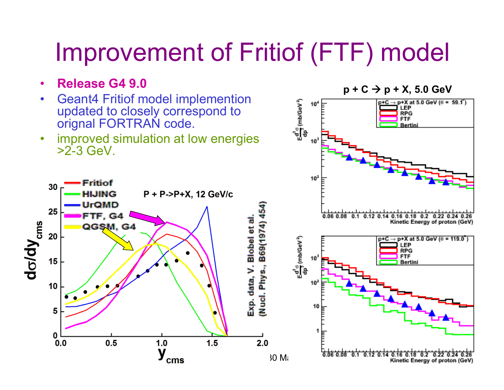#### Improvement of Fritiof (FTF) model

 $10<sup>4</sup>$ 

 $p + C \rightarrow p + X$ , 5.0 GeV<br> **p**<sup>+C</sup>  $\rightarrow$  **p**<sup>+X</sup><sub>at</sub> 5.0 GeV ( $\theta$  = 59.1<sup>2</sup>)

**FTF** Bertin

- •**Release G4 9.0**
- • Geant4 Fritiof model implemention updated to closely correspond to orignal FORTRAN code.

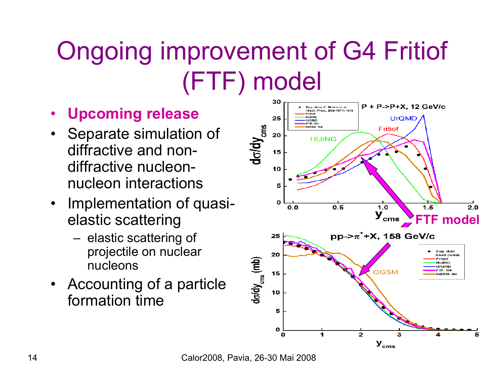### Ongoing improvement of G4 Fritiof (FTF) model

- •**Upcoming release**
- Separate simulation of diffractive and nondiffractive nucleonnucleon interactions
- • Implementation of quasielastic scattering
	- elastic scattering of projectile on nuclear nucleons
- Accounting of a particle formation time



Calor2008, Pavia, 26-30 Mai 2008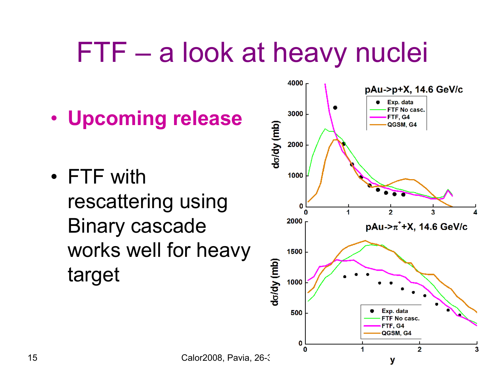# FTF – a look at heavy nuclei

- **Upcoming release**
- FTF with rescattering using Binary cascade works well for heavy target

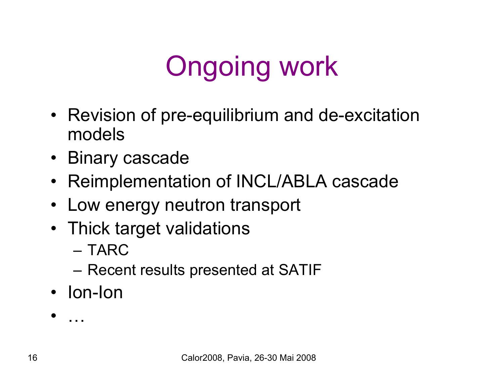# Ongoing work

- Revision of pre-equilibrium and de-excitation models
- Binary cascade
- Reimplementation of INCL/ABLA cascade
- Low energy neutron transport
- Thick target validations
	- TARC
	- Recent results presented at SATIF
- Ion-Ion

•…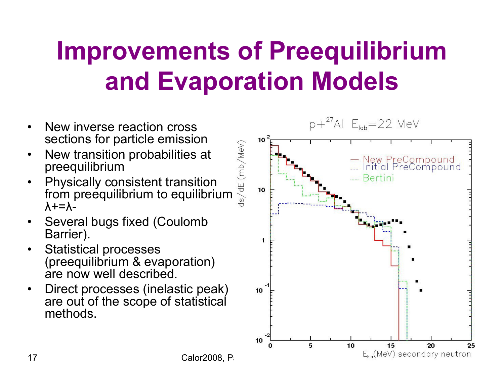### **Improvements of Preequilibrium and Evaporation Models**

- • New inverse reaction cross sections for particle emission
- • New transition probabilities at preequilibrium
- • Physically consistent transition Sections for particle emission<br>
New transition probabilities at<br>
preequilibrium<br>
Physically consistent transition<br>
from preequilibrium to equilibrium  $λ+=λ-$
- • Several bugs fixed (Coulomb Barrier).
- $\bullet$  Statistical processes (preequilibrium & evaporation) are now well described.
- $\bullet$  Direct processes (inelastic peak) are out of the scope of statistical methods.

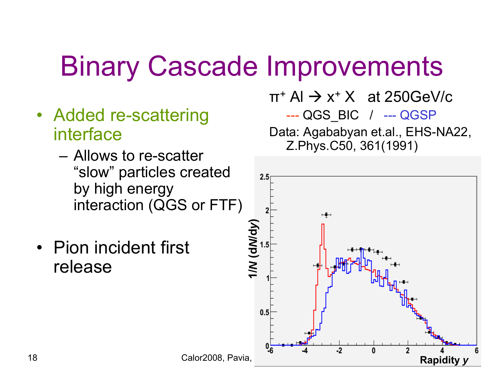# Binary Cascade Improvements

- Added re-scattering interface
	- Allows to re-scatter "slow" particles created by high energy interaction (QGS or FTF)
- Pion incident first release

 $\pi^{\texttt{+}}$  Al  $\rightarrow$  x $^{\texttt{+}}$  X  $\;$  at 250GeV/c --- QGS\_BIC / --- QGSP Data: Agababyan et.al., EHS-NA22, Z.Phys.C50, 361(1991)

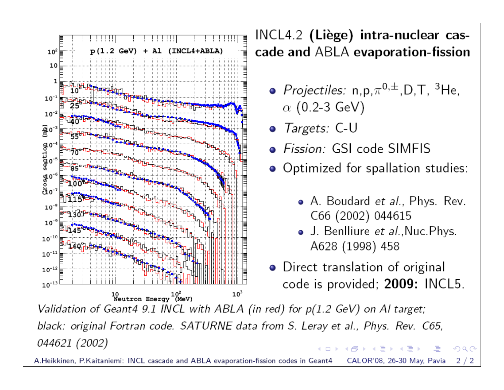

INCL4.2 (Liège) intra-nuclear cascade and ABLA evaporation-fission

- Projectiles:  $n, p, \pi^{0,\pm}, D, T, 3$ He,  $\alpha$  (0.2-3 GeV)
- Targets: C-U
- · Fission: GSI code SIMFIS
- Optimized for spallation studies:
	- A. Boudard *et al.*, Phys. Rev. C66 (2002) 044615

つへへ

- J. Benlliure et al., Nuc. Phys. A628 (1998) 458
- Direct translation of original code is provided; 2009: INCL5.

Validation of Geant4 9.1 INCL with ABLA (in red) for  $p(1.2 \text{ GeV})$  on Al target; black: original Fortran code. SATURNE data from S. Leray et al., Phys. Rev. C65, 044621 (2002) AD ▶ ◀ ヨ ▶ ◀ ヨ.

A Heikkinen, P Kaitaniemi: INCL cascade and ABLA evaporation-fission codes in Ge CALOR'08, 26-30 May, Pavia  $2/2$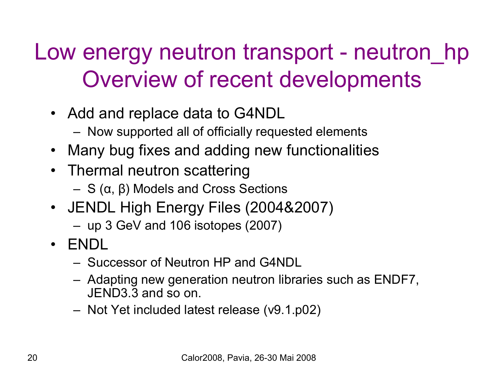#### Low energy neutron transport - neutron hp Overview of recent developments

- Add and replace data to G4NDL
	- Now supported all of officially requested elements
- Many bug fixes and adding new functionalities
- Thermal neutron scattering
	- S (<sup>α</sup>, β) Models and Cross Sections
- JENDL High Energy Files (2004&2007)
	- up 3 GeV and 106 isotopes (2007)
- ENDL
	- Successor of Neutron HP and G4NDL
	- Adapting new generation neutron libraries such as ENDF7, JEND3.3 and so on.
	- Not Yet included latest release (v9.1.p02)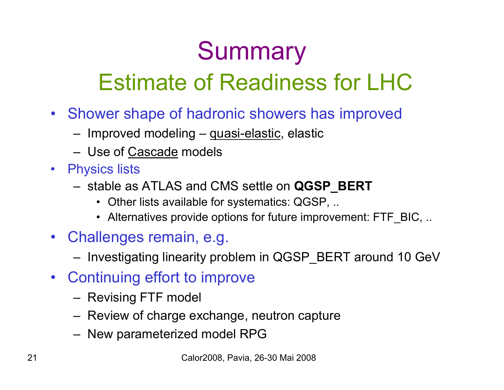# **Summary**

#### Estimate of Readiness for LHC

- Shower shape of hadronic showers has improved
	- Improved modeling quasi-elastic, elastic
	- Use of Cascade models
- Physics lists
	- stable as ATLAS and CMS settle on **QGSP\_BERT**
		- Other lists available for systematics: QGSP, ..
		- Alternatives provide options for future improvement: FTF\_BIC, ..
- Challenges remain, e.g.
	- Investigating linearity problem in QGSP\_BERT around 10 GeV
- Continuing effort to improve
	- Revising FTF model
	- Review of charge exchange, neutron capture
	- New parameterized model RPG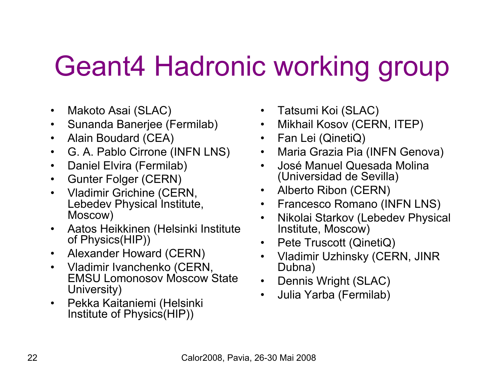# Geant4 Hadronic working group

- •Makoto Asai (SLAC)
- •Sunanda Banerjee (Fermilab)
- $\bullet$ Alain Boudard (CEA)
- •G. A. Pablo Cirrone (INFN LNS)
- •Daniel Elvira (Fermilab)
- $\bullet$ Gunter Folger (CERN)
- $\bullet$  Vladimir Grichine (CERN, Lebedev Physical Institute, Moscow)
- $\bullet$  Aatos Heikkinen (Helsinki Institute of Physics(HIP))
- $\bullet$ Alexander Howard (CERN)
- • Vladimir Ivanchenko (CERN, EMSU Lomonosov Moscow State University)
- $\bullet$  Pekka Kaitaniemi (Helsinki Institute of Physics(HIP))
- Tatsumi Koi (SLAC)
- Mikhail Kosov (CERN, ITEP)
- Fan Lei (QinetiQ)
- Maria Grazia Pia (INFN Genova)
- • José Manuel Quesada Molina (Universidad de Sevilla)
- Alberto Ribon (CERN)
- Francesco Romano (INFN LNS)
- • Nikolai Starkov (Lebedev Physical Institute, Moscow)
- Pete Truscott (QinetiQ)
- Vladimir Uzhinsky (CERN, JINR Dubna)
- Dennis Wright (SLAC)
- •Julia Yarba (Fermilab)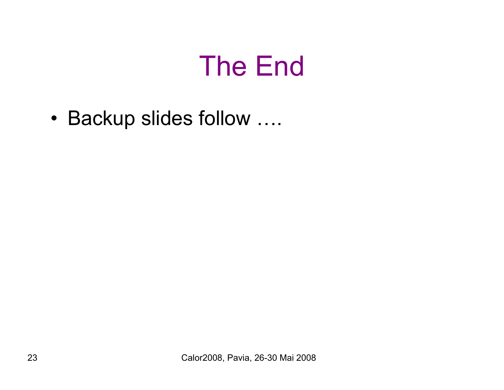## The End

•Backup slides follow ….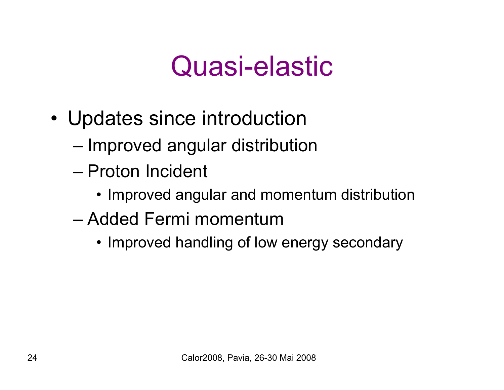### Quasi-elastic

- Updates since introduction
	- Improved angular distribution
	- Proton Incident
		- Improved angular and momentum distribution
	- Added Fermi momentum
		- Improved handling of low energy secondary